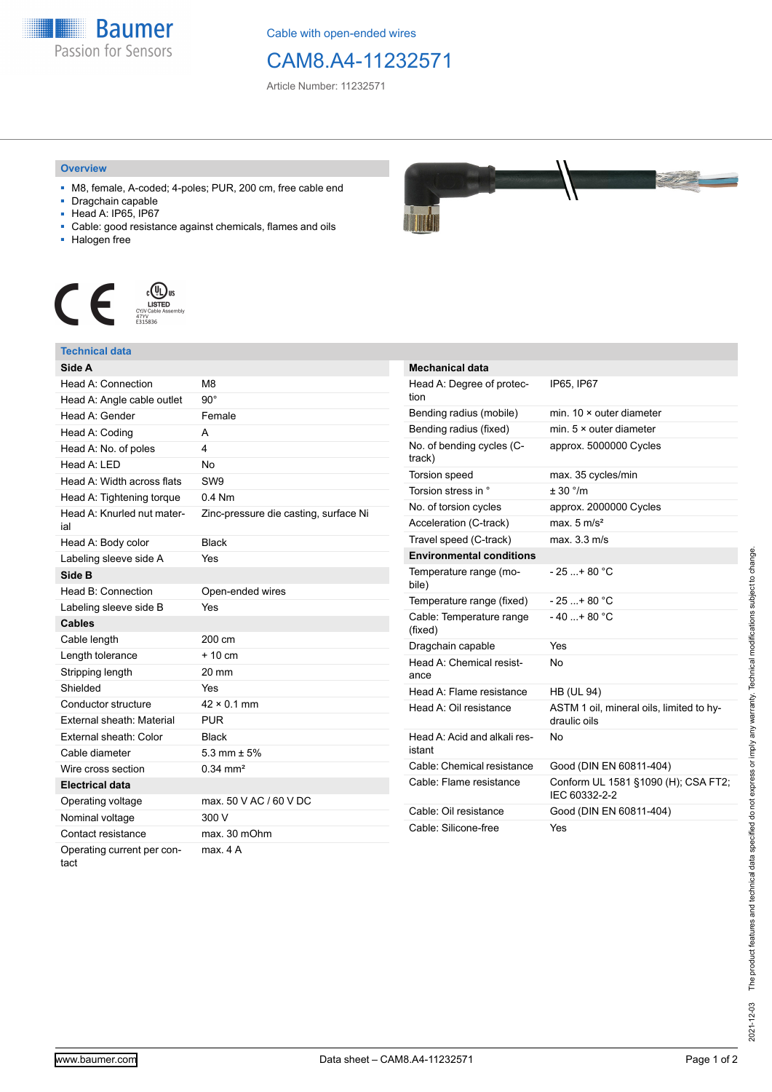

Cable with open-ended wires

## CAM8.A4-11232571

Article Number: 11232571

## **Overview**

- M8, female, A-coded; 4-poles; PUR, 200 cm, free cable end
- Dragchain capable
- Head A: IP65, IP67
- Cable: good resistance against chemicals, flames and oils
- Halogen free



## **Technical data**

| Side A                            |                                       |
|-----------------------------------|---------------------------------------|
| Head A: Connection                | M8                                    |
| Head A: Angle cable outlet        | 90°                                   |
| Head A: Gender                    | Female                                |
| Head A: Coding                    | A                                     |
| Head A: No. of poles              | 4                                     |
| Head A: I FD                      | No                                    |
| Head A: Width across flats        | SW9                                   |
| Head A: Tightening torque         | $0.4$ Nm                              |
| Head A: Knurled nut mater-<br>ial | Zinc-pressure die casting, surface Ni |
| Head A: Body color                | <b>Black</b>                          |
| Labeling sleeve side A            | Yes                                   |
| Side B                            |                                       |
| Head B: Connection                | Open-ended wires                      |
| Labeling sleeve side B            | Yes                                   |
| <b>Cables</b>                     |                                       |
| Cable length                      | 200 cm                                |
| Length tolerance                  | $+10 \text{ cm}$                      |
| Stripping length                  | 20 mm                                 |
|                                   |                                       |
| Shielded                          | Yes                                   |
| Conductor structure               | $42 \times 0.1$ mm                    |
| <b>External sheath: Material</b>  | <b>PUR</b>                            |
| External sheath: Color            | <b>Black</b>                          |
| Cable diameter                    | 5.3 mm $\pm$ 5%                       |
| Wire cross section                | $0.34 \, \text{mm}^2$                 |
| <b>Electrical data</b>            |                                       |
| Operating voltage                 | max, 50 V AC / 60 V DC                |
| Nominal voltage                   | 300 V                                 |
| Contact resistance                | max. 30 mOhm                          |



| <b>Mechanical data</b>                 |                                                          |
|----------------------------------------|----------------------------------------------------------|
| Head A: Degree of protec-<br>tion      | IP65, IP67                                               |
| Bending radius (mobile)                | min. $10 \times$ outer diameter                          |
| Bending radius (fixed)                 | min. $5 \times$ outer diameter                           |
| No. of bending cycles (C-<br>track)    | approx. 5000000 Cycles                                   |
| <b>Torsion speed</b>                   | max. 35 cycles/min                                       |
| Torsion stress in °                    | $+30$ °/m                                                |
| No. of torsion cycles                  | approx. 2000000 Cycles                                   |
| Acceleration (C-track)                 | max. $5 \text{ m/s}^2$                                   |
| Travel speed (C-track)                 | max. 3.3 m/s                                             |
| <b>Environmental conditions</b>        |                                                          |
| Temperature range (mo-<br>bile)        | - 25 + 80 °C                                             |
| Temperature range (fixed)              | $-25+80 °C$                                              |
| Cable: Temperature range<br>(fixed)    | $-40+80 °C$                                              |
| Dragchain capable                      | Yes                                                      |
| Head A: Chemical resist-<br>ance       | N٥                                                       |
| Head A: Flame resistance               | <b>HB (UL 94)</b>                                        |
| Head A: Oil resistance                 | ASTM 1 oil, mineral oils, limited to hy-<br>draulic oils |
| Head A: Acid and alkali res-<br>istant | N٥                                                       |
| Cable: Chemical resistance             | Good (DIN EN 60811-404)                                  |
| Cable: Flame resistance                | Conform UL 1581 §1090 (H); CSA FT2;<br>IEC 60332-2-2     |
| Cable: Oil resistance                  | Good (DIN EN 60811-404)                                  |
| Cable: Silicone-free                   | Yes                                                      |